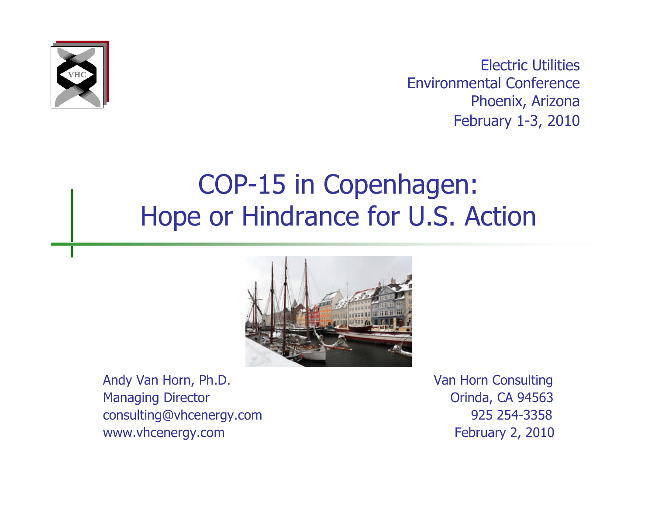

Electric Utilities Environmental Conference Phoenix, Arizona February 1-3, 2010

#### COP-15 in Copenhagen: Hope or Hindrance for U.S. Action



Andy Van Horn, Ph.D. **Van Horn Consulting** Managing Director **Managing Director CA 94563** consulting@vhcenergy.com 925 254-3358 www.vhcenergy.com **February 2, 2010**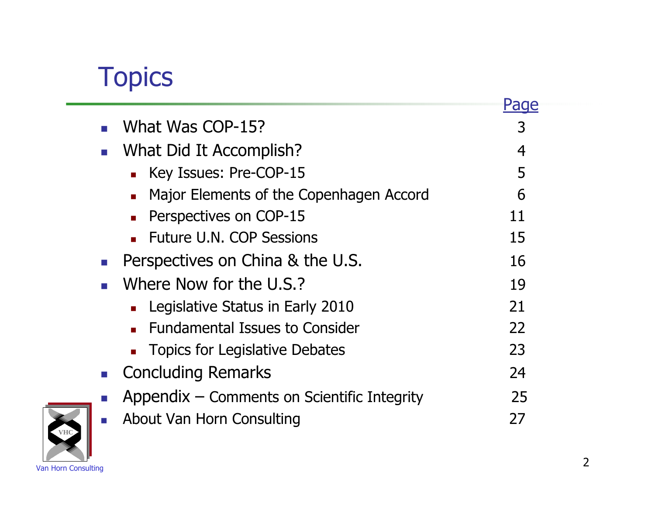# **Topics**

| What Was COP-15?                                                       | 3  |
|------------------------------------------------------------------------|----|
| What Did It Accomplish?                                                | 4  |
| Key Issues: Pre-COP-15<br>m.                                           | 5  |
| Major Elements of the Copenhagen Accord<br>$\mathcal{L}_{\mathcal{A}}$ | 6  |
| Perspectives on COP-15<br>$\mathbf{r}$                                 | 11 |
| <b>Future U.N. COP Sessions</b>                                        | 15 |
| Perspectives on China & the U.S.                                       | 16 |
| Where Now for the U.S.?                                                | 19 |
| Legislative Status in Early 2010                                       | 21 |
| <b>Fundamental Issues to Consider</b><br>$\mathbf{r}$                  | 22 |
| <b>Topics for Legislative Debates</b>                                  | 23 |
| <b>Concluding Remarks</b>                                              | 24 |
| Appendix – Comments on Scientific Integrity                            | 25 |
| About Van Horn Consulting                                              | 27 |

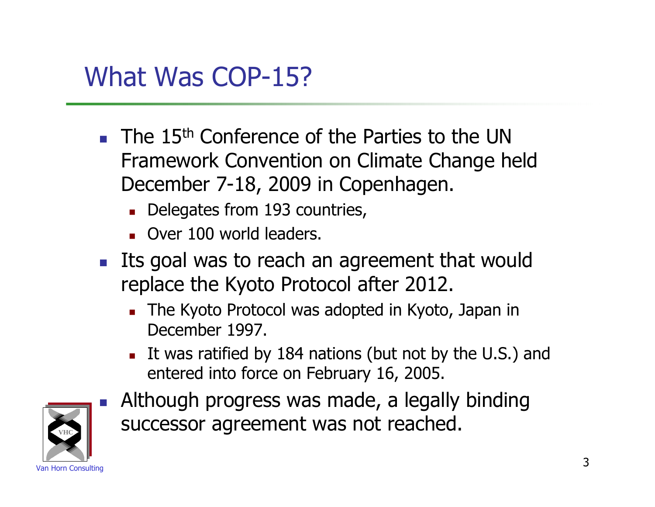#### What Was COP-15?

- $\blacksquare$  The 15<sup>th</sup> Conference of the Parties to the UN Framework Convention on Climate Change held December 7-18, 2009 in Copenhagen.
	- Delegates from 193 countries,
	- Over 100 world leaders.
- **Its goal was to reach an agreement that would** replace the Kyoto Protocol after 2012.
	- The Kyoto Protocol was adopted in Kyoto, Japan in December 1997.
	- It was ratified by 184 nations (but not by the U.S.) and entered into force on February 16, 2005.



 Although progress was made, a legally binding successor agreement was not reached.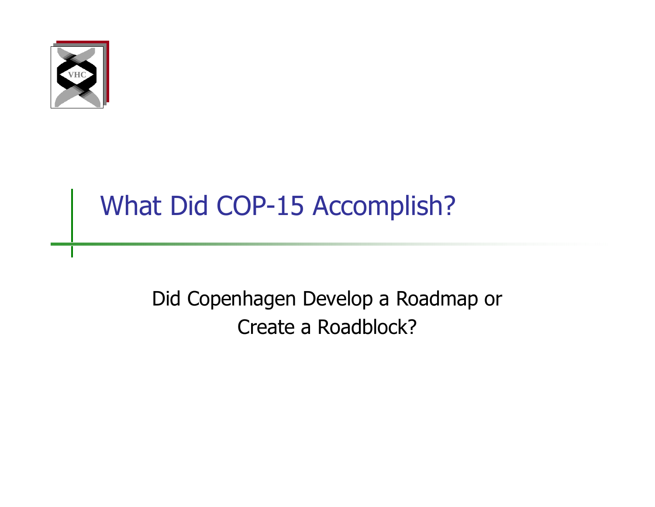

# What Did COP-15 Accomplish?

Did Copenhagen Develop a Roadmap or Create a Roadblock?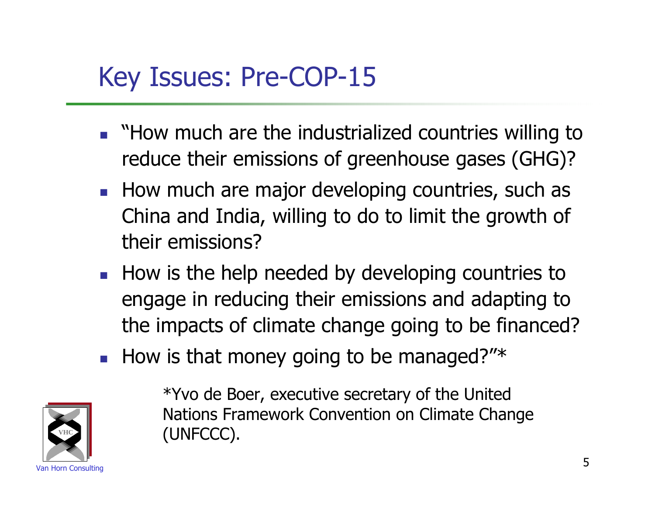# Key Issues: Pre-COP-15

- **Now much are the industrialized countries willing to** reduce their emissions of greenhouse gases (GHG)?
- How much are major developing countries, such as China and India, willing to do to limit the growth of their emissions?
- How is the help needed by developing countries to engage in reducing their emissions and adapting to the impacts of climate change going to be financed?
- How is that money going to be managed?"\*



\*Yvo de Boer, executive secretary of the United Nations Framework Convention on Climate Change (UNFCCC).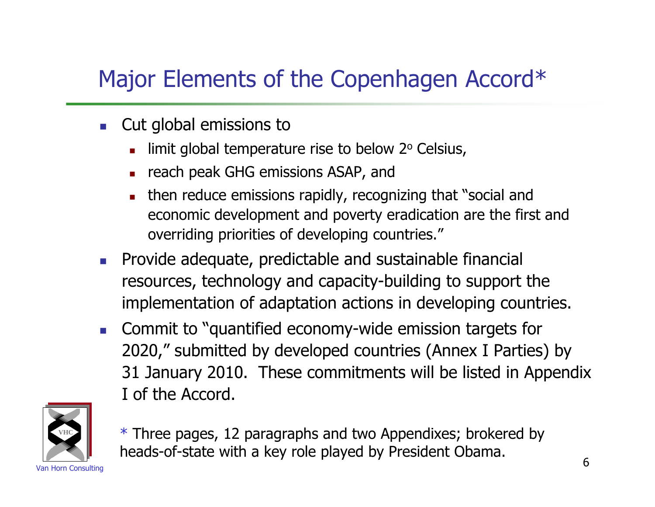#### Major Elements of the Copenhagen Accord\*

- **Cut global emissions to** 
	- limit global temperature rise to below 2° Celsius,
	- reach peak GHG emissions ASAP, and
	- then reduce emissions rapidly, recognizing that "social and economic development and poverty eradication are the first and overriding priorities of developing countries."
- **Provide adequate, predictable and sustainable financial** resources, technology and capacity-building to support the implementation of adaptation actions in developing countries.
- **Commit to "quantified economy-wide emission targets for** 2020," submitted by developed countries (Annex I Parties) by 31 January 2010. These commitments will be listed in Appendix I of the Accord.



example. The consumer of the consumer consumer that the consequence of the constant of the consulting of the consulting of  $6$ \* Three pages, 12 paragraphs and two Appendixes; brokered by heads-of-state with a key role played by President Obama.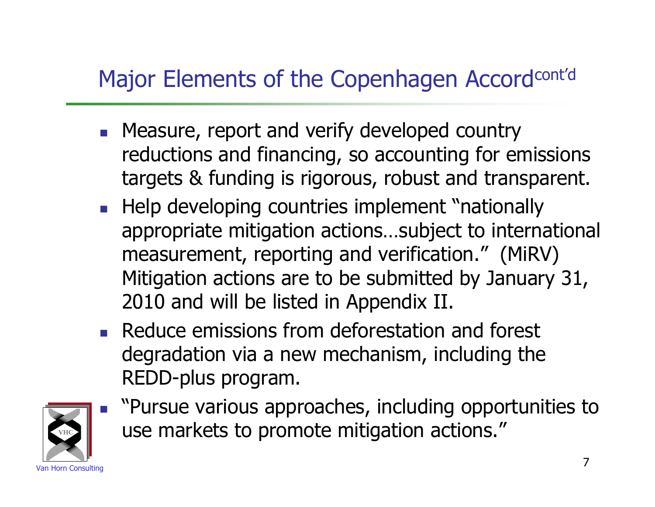#### Major Elements of the Copenhagen Accordcont'd

- **Measure, report and verify developed country** reductions and financing, so accounting for emissions targets & funding is rigorous, robust and transparent.
- Help developing countries implement "nationally appropriate mitigation actions…subject to international measurement, reporting and verification." (MiRV) Mitigation actions are to be submitted by January 31, 2010 and will be listed in Appendix II.
- **Reduce emissions from deforestation and forest** degradation via a new mechanism, including the REDD-plus program.



**Pursue various approaches, including opportunities to** use markets to promote mitigation actions."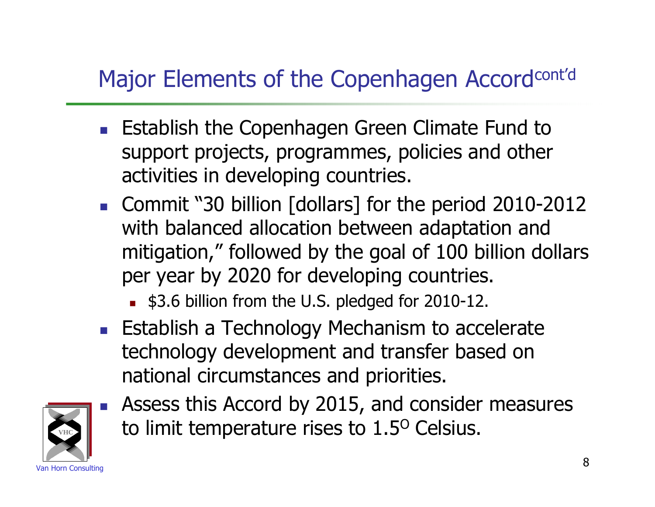#### Major Elements of the Copenhagen Accordcont'd

- **Establish the Copenhagen Green Climate Fund to** support projects, programmes, policies and other activities in developing countries.
- Commit "30 billion [dollars] for the period 2010-2012 with balanced allocation between adaptation and mitigation," followed by the goal of 100 billion dollars per year by 2020 for developing countries.
	- \$3.6 billion from the U.S. pledged for 2010-12.
- **Establish a Technology Mechanism to accelerate** technology development and transfer based on national circumstances and priorities.



 Assess this Accord by 2015, and consider measures to limit temperature rises to 1.5<sup>o</sup> Celsius.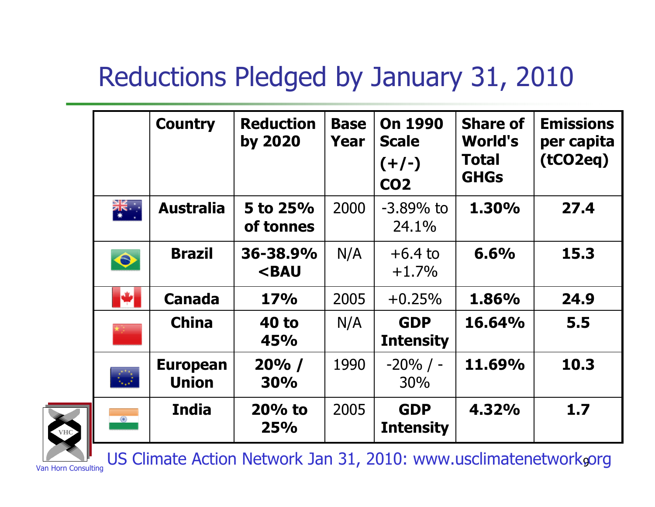# Reductions Pledged by January 31, 2010

|            | <b>Country</b>                  | <b>Reduction</b><br>by 2020                                                                                               | <b>Base</b><br>Year | <b>On 1990</b><br><b>Scale</b><br>$(+/-)$<br><b>CO2</b> | <b>Share of</b><br><b>World's</b><br><b>Total</b><br><b>GHGs</b> | <b>Emissions</b><br>per capita<br>(tCO2eq) |
|------------|---------------------------------|---------------------------------------------------------------------------------------------------------------------------|---------------------|---------------------------------------------------------|------------------------------------------------------------------|--------------------------------------------|
| ¥<br>≫k    | <b>Australia</b>                | 5 to 25%<br>of tonnes                                                                                                     | 2000                | $-3.89\%$ to<br>24.1%                                   | 1.30%                                                            | 27.4                                       |
| $\bullet$  | <b>Brazil</b>                   | 36-38.9%<br><bau< th=""><th>N/A</th><th><math>+6.4</math> to<br/><math>+1.7%</math></th><th>6.6%</th><th>15.3</th></bau<> | N/A                 | $+6.4$ to<br>$+1.7%$                                    | 6.6%                                                             | 15.3                                       |
| М          | <b>Canada</b>                   | <b>17%</b>                                                                                                                | 2005                | $+0.25%$                                                | 1.86%                                                            | 24.9                                       |
|            | <b>China</b>                    | <b>40 to</b><br>45%                                                                                                       | N/A                 | <b>GDP</b><br><b>Intensity</b>                          | 16.64%                                                           | 5.5                                        |
| $\bigcirc$ | <b>European</b><br><b>Union</b> | 20% /<br><b>30%</b>                                                                                                       | 1990                | $-20\%$ / -<br>30%                                      | 11.69%                                                           | 10.3                                       |
| $\circ$    | <b>India</b>                    | $20%$ to<br>25%                                                                                                           | 2005                | <b>GDP</b><br><b>Intensity</b>                          | 4.32%                                                            | 1.7                                        |



**VHC**

Van Horn Consulting US Climate Action Network Jan 31, 2010: www.usclimatenetwork.corg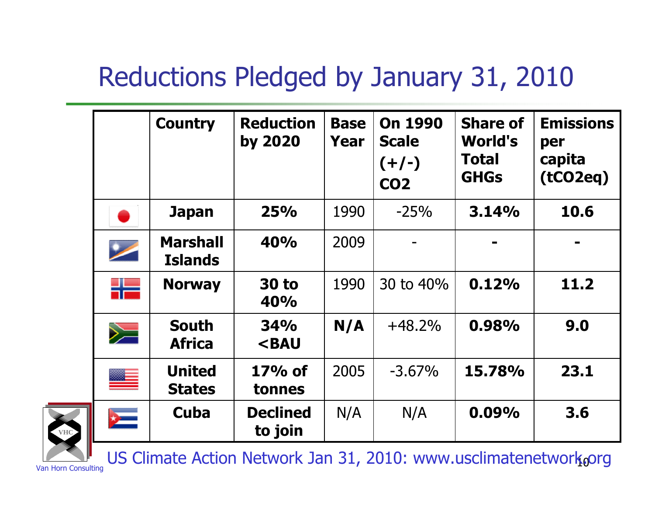# Reductions Pledged by January 31, 2010

|                  | <b>Country</b>                    | <b>Reduction</b><br>by 2020      | <b>Base</b><br>Year | <b>On 1990</b><br><b>Scale</b><br>$(+/-)$<br><b>CO2</b> | <b>Share of</b><br><b>World's</b><br>Total<br><b>GHGs</b> | <b>Emissions</b><br>per<br>capita<br>(tCO2eq) |
|------------------|-----------------------------------|----------------------------------|---------------------|---------------------------------------------------------|-----------------------------------------------------------|-----------------------------------------------|
|                  | <b>Japan</b>                      | 25%                              | 1990                | $-25%$                                                  | 3.14%                                                     | 10.6                                          |
|                  | <b>Marshall</b><br><b>Islands</b> | 40%                              | 2009                |                                                         |                                                           |                                               |
| ╬                | <b>Norway</b>                     | <b>30 to</b><br>40%              | 1990                | 30 to 40%                                               | 0.12%                                                     | 11.2                                          |
| $\geq$           | <b>South</b><br><b>Africa</b>     | 34%<br><b><bau< b=""></bau<></b> | N/A                 | $+48.2%$                                                | 0.98%                                                     | 9.0                                           |
| ≝                | <b>United</b><br><b>States</b>    | $17%$ of<br>tonnes               | 2005                | $-3.67\%$                                               | 15.78%                                                    | 23.1                                          |
| $\sum_{i=1}^{n}$ | Cuba                              | <b>Declined</b><br>to join       | N/A                 | N/A                                                     | 0.09%                                                     | 3.6                                           |



**VHC**

 $\text{L}$  US Climate Action Network Jan 31, 2010: www.usclimatenetwork.org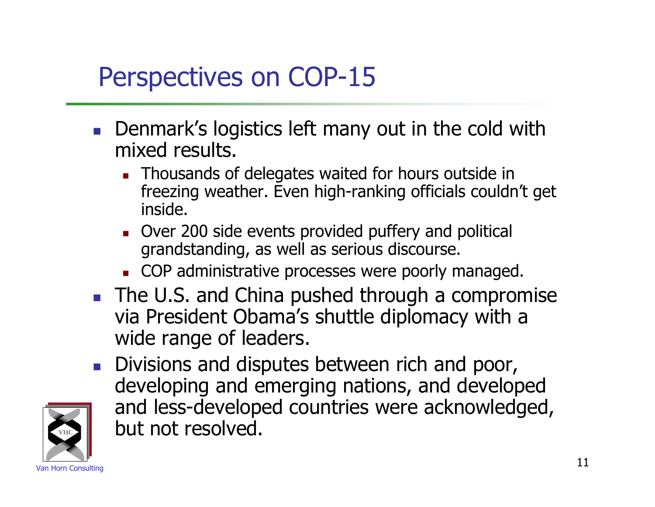# Perspectives on COP-15

- **Denmark's logistics left many out in the cold with** mixed results.
	- **Thousands of delegates waited for hours outside in** freezing weather. Even high-ranking officials couldn't get inside.
	- Over 200 side events provided puffery and political grandstanding, as well as serious discourse.
	- **COP** administrative processes were poorly managed.
- The U.S. and China pushed through a compromise via President Obama's shuttle diplomacy with a wide range of leaders.
- Divisions and disputes between rich and poor, developing and emerging nations, and developed and less-developed countries were acknowledged, but not resolved.

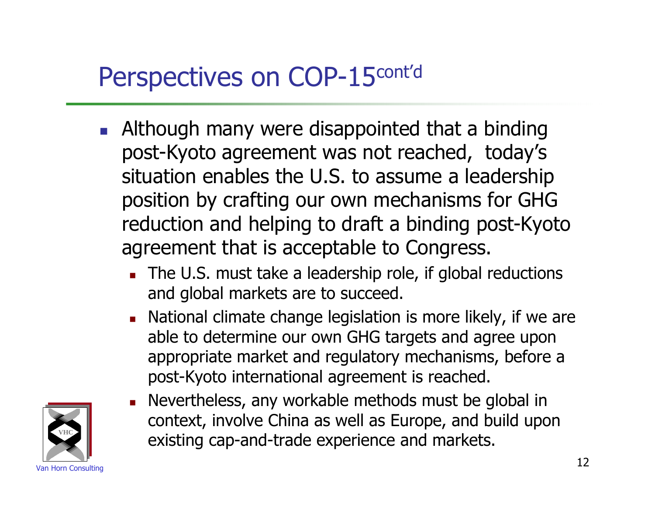# Perspectives on COP-15cont'd

- **Although many were disappointed that a binding** post-Kyoto agreement was not reached, today's situation enables the U.S. to assume a leadership position by crafting our own mechanisms for GHG reduction and helping to draft a binding post-Kyoto agreement that is acceptable to Congress.
	- The U.S. must take a leadership role, if global reductions and global markets are to succeed.
	- **National climate change legislation is more likely, if we are** able to determine our own GHG targets and agree upon appropriate market and regulatory mechanisms, before a post-Kyoto international agreement is reached.
	- Nevertheless, any workable methods must be global in context, involve China as well as Europe, and build upon existing cap-and-trade experience and markets.

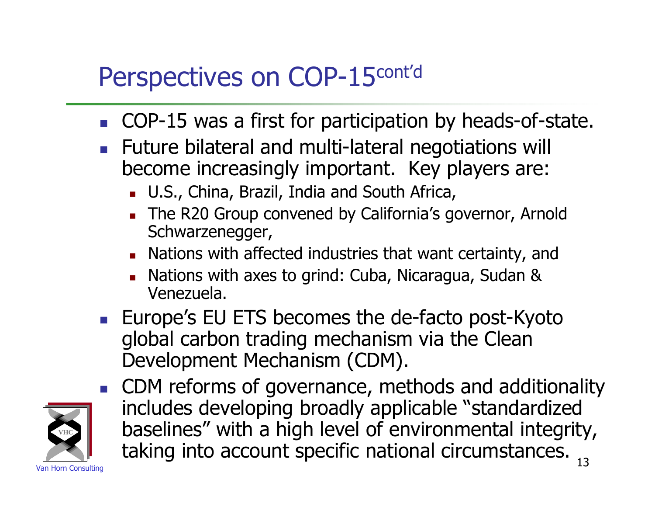# Perspectives on COP-15cont'd

- COP-15 was a first for participation by heads-of-state.
- **Future bilateral and multi-lateral negotiations will** become increasingly important. Key players are:
	- **U.S., China, Brazil, India and South Africa,**
	- The R20 Group convened by California's governor, Arnold Schwarzenegger,
	- **Nations with affected industries that want certainty, and**
	- **Nations with axes to grind: Cuba, Nicaragua, Sudan &** Venezuela.
- **EUROMERGE** EU ETS becomes the de-facto post-Kyoto global carbon trading mechanism via the Clean Development Mechanism (CDM).
- Van Horn Consulting 13 ■ CDM reforms of governance, methods and additionality includes developing broadly applicable "standardized baselines" with a high level of environmental integrity, taking into account specific national circumstances.

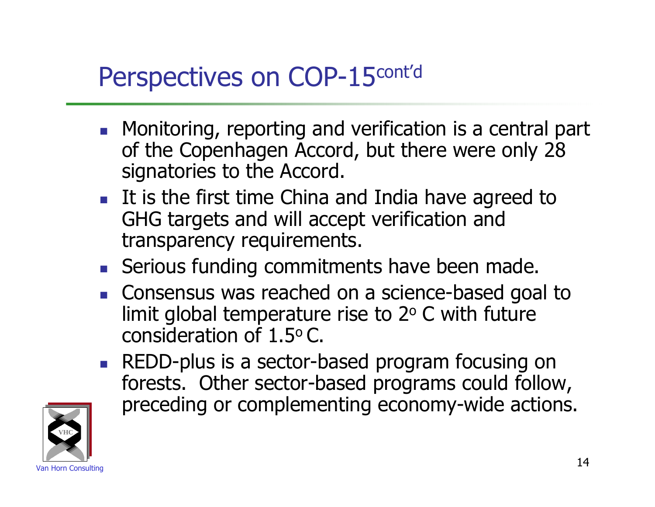#### Perspectives on COP-15 cont'd

- **Monitoring, reporting and verification is a central part** of the Copenhagen Accord, but there were only 28 signatories to the Accord.
- It is the first time China and India have agreed to GHG targets and will accept verification and transparency requirements.
- Serious funding commitments have been made.
- **Consensus was reached on a science-based goal to** limit global temperature rise to  $2^{\circ}$  C with future consideration of 1.5<sup>o</sup> C.
- **REDD-plus is a sector-based program focusing on** forests. Other sector-based programs could follow, preceding or complementing economy-wide actions.

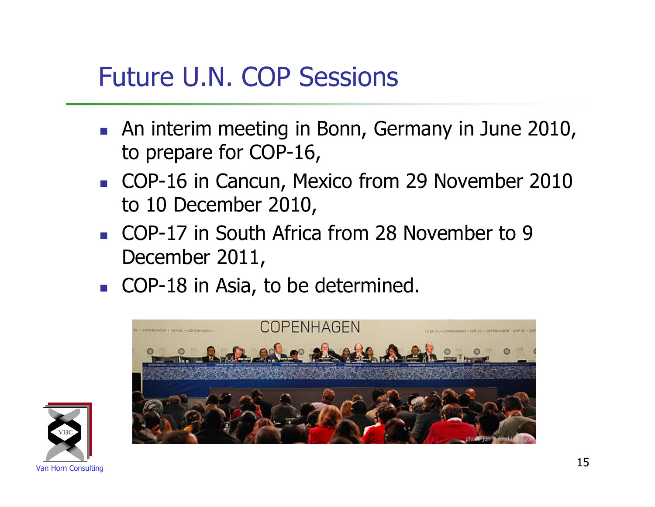#### Future U.N. COP Sessions

- **An interim meeting in Bonn, Germany in June 2010,** to prepare for COP-16,
- COP-16 in Cancun, Mexico from 29 November 2010 to 10 December 2010,
- COP-17 in South Africa from 28 November to 9 December 2011,
- COP-18 in Asia, to be determined.



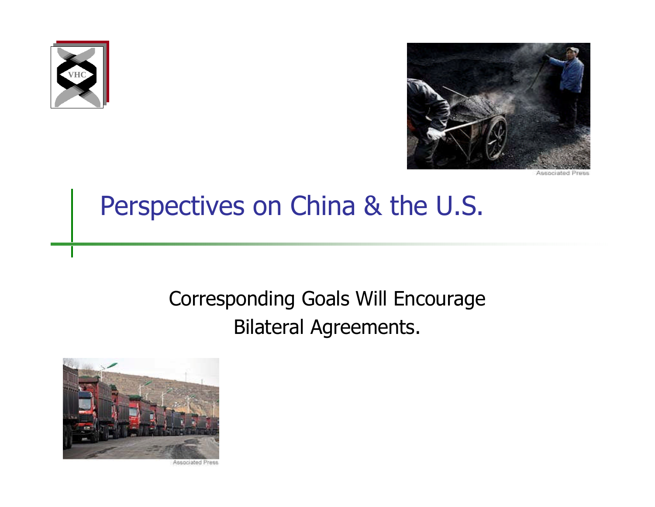



Accoristed Prace

#### Perspectives on China & the U.S.

#### Corresponding Goals Will Encourage Bilateral Agreements.



Associated Press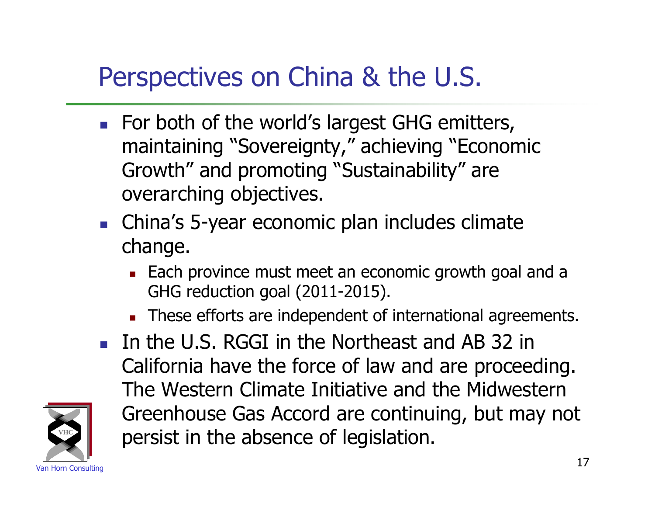### Perspectives on China & the U.S.

- For both of the world's largest GHG emitters, maintaining "Sovereignty," achieving "Economic Growth" and promoting "Sustainability" are overarching objectives.
- **China's 5-year economic plan includes climate** change.
	- **Each province must meet an economic growth goal and a** GHG reduction goal (2011-2015).
	- These efforts are independent of international agreements.
- In the U.S. RGGI in the Northeast and AB 32 in California have the force of law and are proceeding. The Western Climate Initiative and the Midwestern Greenhouse Gas Accord are continuing, but may not persist in the absence of legislation.

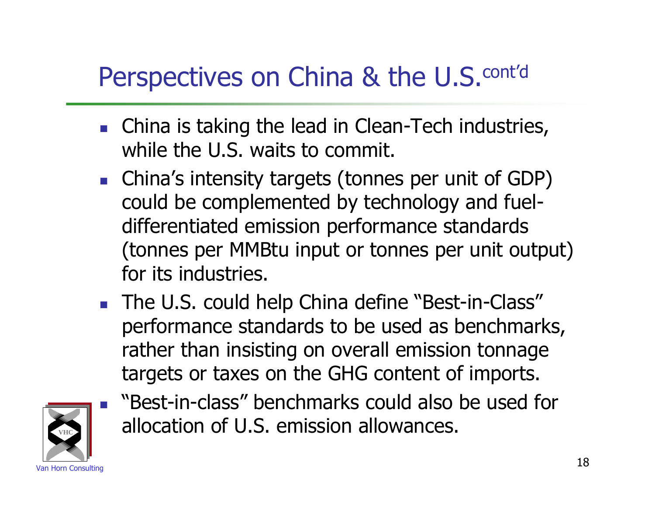### Perspectives on China & the U.S.<sup>cont'd</sup>

- **China is taking the lead in Clean-Tech industries,** while the U.S. waits to commit.
- China's intensity targets (tonnes per unit of GDP) could be complemented by technology and fueldifferentiated emission performance standards (tonnes per MMBtu input or tonnes per unit output) for its industries.
- The U.S. could help China define "Best-in-Class" performance standards to be used as benchmarks, rather than insisting on overall emission tonnage targets or taxes on the GHG content of imports.



 "Best-in-class" benchmarks could also be used for allocation of U.S. emission allowances.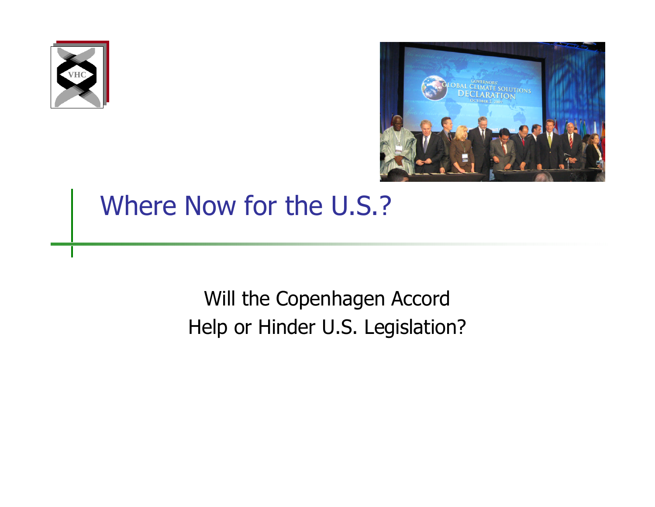



#### Where Now for the U.S.?

Will the Copenhagen Accord Help or Hinder U.S. Legislation?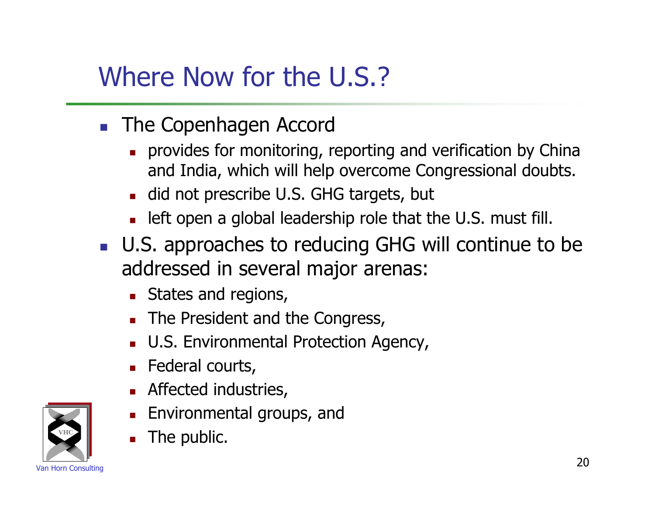### Where Now for the U.S.?

- **The Copenhagen Accord** 
	- provides for monitoring, reporting and verification by China and India, which will help overcome Congressional doubts.
	- did not prescribe U.S. GHG targets, but
	- **Example 1** left open a global leadership role that the U.S. must fill.
- U.S. approaches to reducing GHG will continue to be addressed in several major arenas:
	- **States and regions,**
	- The President and the Congress,
	- U.S. Environmental Protection Agency,
	- **Federal courts,**
	- **Affected industries,**
	- **Environmental groups, and**
	- The public.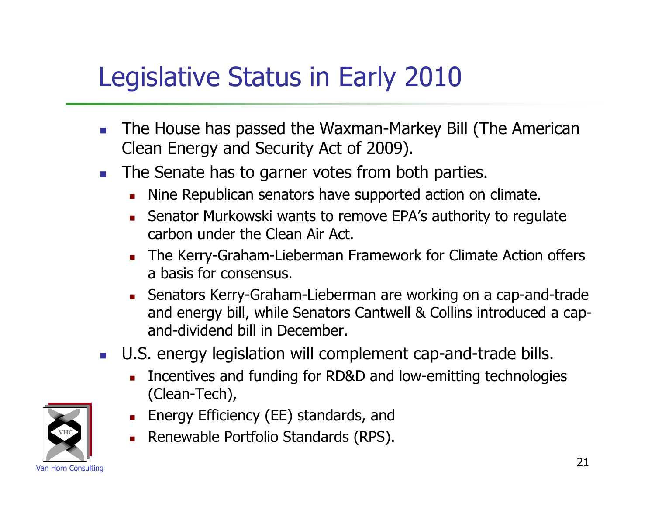### Legislative Status in Early 2010

- The House has passed the Waxman-Markey Bill (The American Clean Energy and Security Act of 2009).
- The Senate has to garner votes from both parties.
	- Nine Republican senators have supported action on climate.
	- Senator Murkowski wants to remove EPA's authority to regulate carbon under the Clean Air Act.
	- **The Kerry-Graham-Lieberman Framework for Climate Action offers** a basis for consensus.
	- Senators Kerry-Graham-Lieberman are working on a cap-and-trade and energy bill, while Senators Cantwell & Collins introduced a capand-dividend bill in December.
- U.S. energy legislation will complement cap-and-trade bills.
	- Incentives and funding for RD&D and low-emitting technologies (Clean-Tech),



- **Energy Efficiency (EE) standards, and**
- Renewable Portfolio Standards (RPS).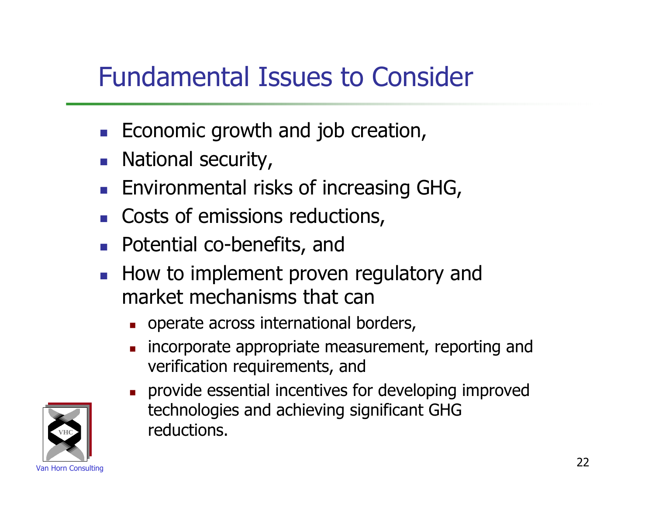#### Fundamental Issues to Consider

- $\blacksquare$  Economic growth and job creation,
- National security,
- **Environmental risks of increasing GHG,**
- **Costs of emissions reductions,**
- **Potential co-benefits, and**
- **How to implement proven regulatory and** market mechanisms that can
	- operate across international borders,
	- incorporate appropriate measurement, reporting and verification requirements, and
	- provide essential incentives for developing improved technologies and achieving significant GHG reductions.

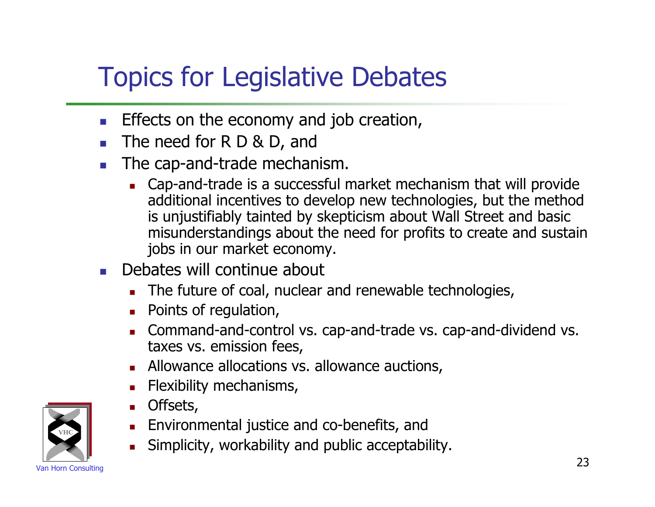# Topics for Legislative Debates

- **Effects on the economy and job creation,**
- The need for R D & D, and
- The cap-and-trade mechanism.
	- Cap-and-trade is a successful market mechanism that will provide additional incentives to develop new technologies, but the method is unjustifiably tainted by skepticism about Wall Street and basic misunderstandings about the need for profits to create and sustain jobs in our market economy.
- Debates will continue about
	- The future of coal, nuclear and renewable technologies,
	- **Points of regulation,**
	- Command-and-control vs. cap-and-trade vs. cap-and-dividend vs. taxes vs. emission fees,
	- **Allowance allocations vs. allowance auctions,**
	- **Flexibility mechanisms,**
	- **Offsets,**
	- **Environmental justice and co-benefits, and**
	- Simplicity, workability and public acceptability.

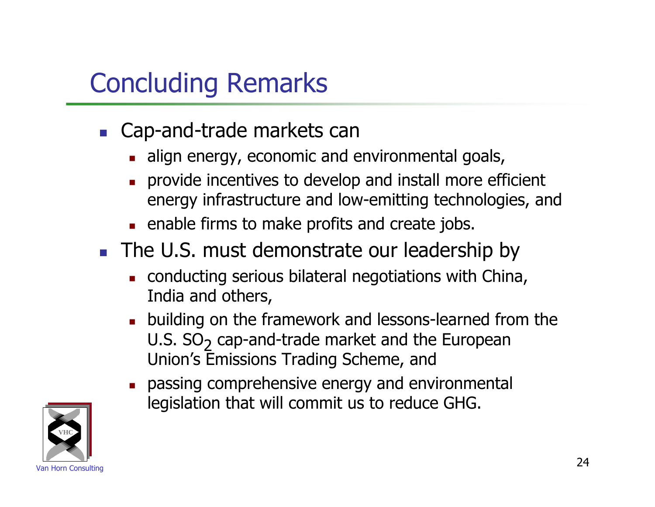# Concluding Remarks

- **Cap-and-trade markets can** 
	- align energy, economic and environmental goals,
	- provide incentives to develop and install more efficient energy infrastructure and low-emitting technologies, and
	- **EXEC** enable firms to make profits and create jobs.
- The U.S. must demonstrate our leadership by
	- conducting serious bilateral negotiations with China, India and others,
	- **building on the framework and lessons-learned from the** U.S. SO<sub>2</sub> cap-and-trade market and the European Union's Emissions Trading Scheme, and
	- **passing comprehensive energy and environmental** legislation that will commit us to reduce GHG.

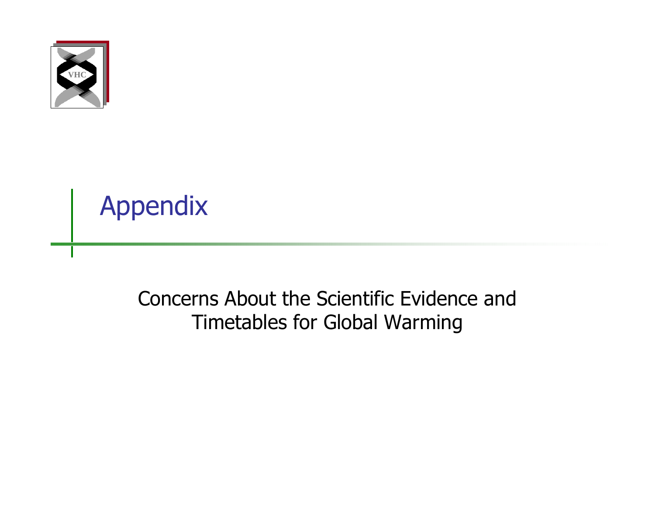

Appendix

#### Concerns About the Scientific Evidence and Timetables for Global Warming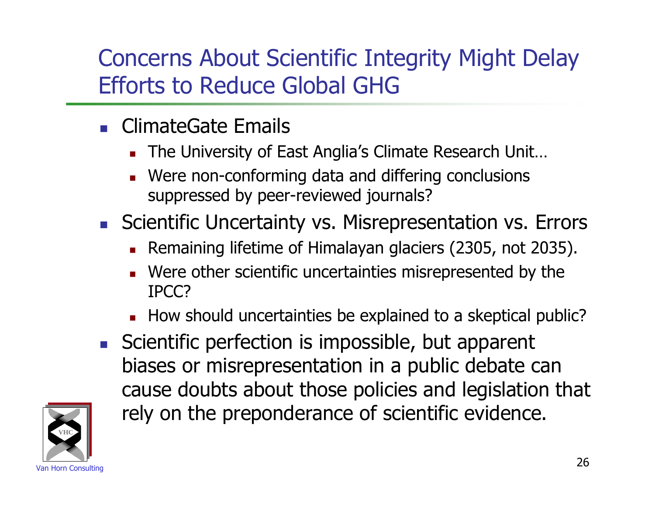#### Concerns About Scientific Integrity Might Delay Efforts to Reduce Global GHG

- **ClimateGate Emails** 
	- The University of East Anglia's Climate Research Unit…
	- **Nere non-conforming data and differing conclusions** suppressed by peer-reviewed journals?
- **Scientific Uncertainty vs. Misrepresentation vs. Errors** 
	- Remaining lifetime of Himalayan glaciers (2305, not 2035).
	- Were other scientific uncertainties misrepresented by the IPCC?
	- How should uncertainties be explained to a skeptical public?
- Scientific perfection is impossible, but apparent biases or misrepresentation in a public debate can cause doubts about those policies and legislation that rely on the preponderance of scientific evidence.

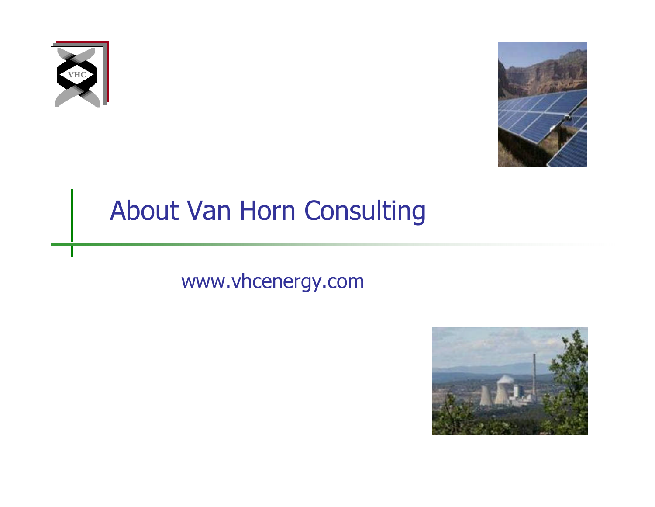



## About Van Horn Consulting

#### www.vhcenergy.com

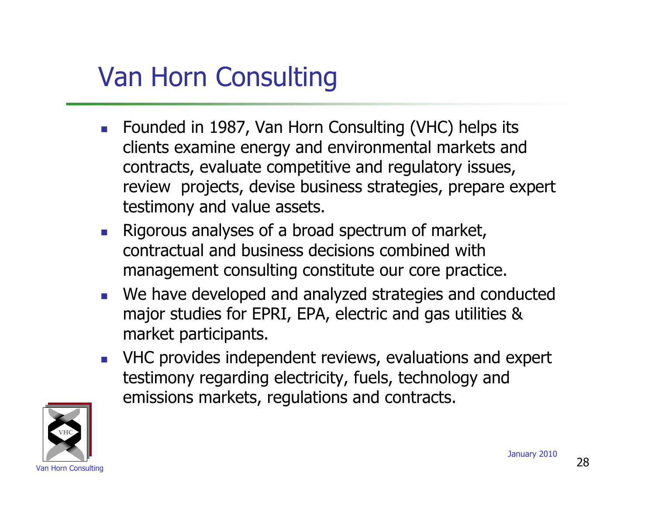# Van Horn Consulting

- **Founded in 1987, Van Horn Consulting (VHC) helps its** clients examine energy and environmental markets and contracts, evaluate competitive and regulatory issues, review projects, devise business strategies, prepare expert testimony and value assets.
- Rigorous analyses of a broad spectrum of market, contractual and business decisions combined with management consulting constitute our core practice.
- We have developed and analyzed strategies and conducted major studies for EPRI, EPA, electric and gas utilities & market participants.
- **NHC provides independent reviews, evaluations and expert** testimony regarding electricity, fuels, technology and emissions markets, regulations and contracts.

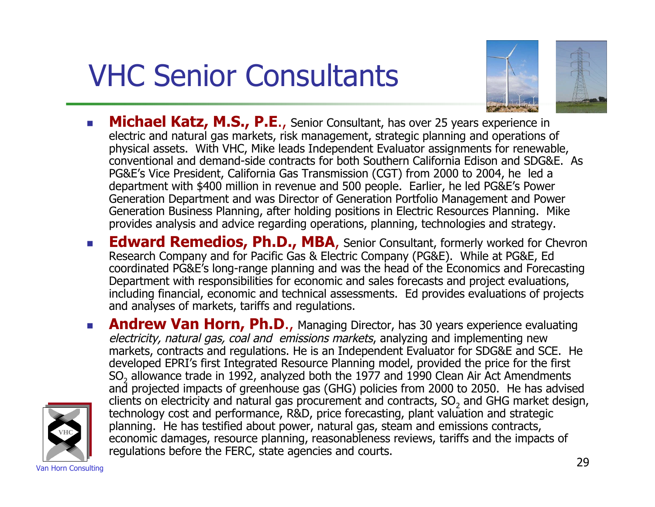# VHC Senior Consultants



- **Michael Katz, M.S., P.E.,** Senior Consultant, has over 25 years experience in electric and natural gas markets, risk management, strategic planning and operations of physical assets. With VHC, Mike leads Independent Evaluator assignments for renewable, conventional and demand-side contracts for both Southern California Edison and SDG&E. As PG&E's Vice President, California Gas Transmission (CGT) from 2000 to 2004, he led a department with \$400 million in revenue and 500 people. Earlier, he led PG&E's Power Generation Department and was Director of Generation Portfolio Management and Power Generation Business Planning, after holding positions in Electric Resources Planning. Mike provides analysis and advice regarding operations, planning, technologies and strategy.
- **Edward Remedios, Ph.D., MBA**, Senior Consultant, formerly worked for Chevron Research Company and for Pacific Gas & Electric Company (PG&E). While at PG&E, Ed coordinated PG&E's long-range planning and was the head of the Economics and Forecasting Department with responsibilities for economic and sales forecasts and project evaluations, including financial, economic and technical assessments. Ed provides evaluations of projects and analyses of markets, tariffs and regulations.
- **Andrew Van Horn, Ph.D.,** Managing Director, has 30 years experience evaluating electricity, natural gas, coal and emissions markets, analyzing and implementing new markets, contracts and regulations. He is an Independent Evaluator for SDG&E and SCE. He developed EPRI's first Integrated Resource Planning model, provided the price for the first SO<sub>2</sub> allowance trade in 1992, analyzed both the 1977 and 1990 Clean Air Act Amendments and projected impacts of greenhouse gas (GHG) policies from 2000 to 2050. He has advised clients on electricity and natural gas procurement and contracts,  ${SO}_2$  and GHG market design, technology cost and performance, R&D, price forecasting, plant valuation and strategic planning. He has testified about power, natural gas, steam and emissions contracts, economic damages, resource planning, reasonableness reviews, tariffs and the impacts of regulations before the FERC, state agencies and courts.

**VHC**